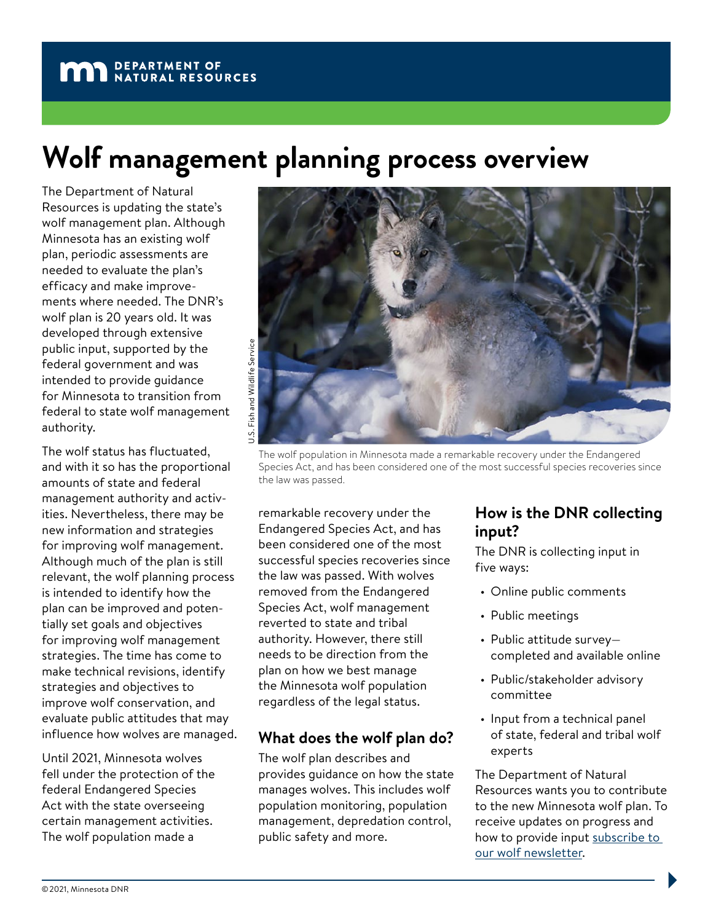# **Wolf management planning process overview**

The Department of Natural Resources is updating the state's wolf management plan. Although Minnesota has an existing wolf plan, periodic assessments are needed to evaluate the plan's efficacy and make improvements where needed. The DNR's wolf plan is 20 years old. It was developed through extensive public input, supported by the federal government and was intended to provide guidance for Minnesota to transition from federal to state wolf management authority.

The wolf status has fluctuated, and with it so has the proportional amounts of state and federal management authority and activities. Nevertheless, there may be new information and strategies for improving wolf management. Although much of the plan is still relevant, the wolf planning process is intended to identify how the plan can be improved and potentially set goals and objectives for improving wolf management strategies. The time has come to make technical revisions, identify strategies and objectives to improve wolf conservation, and evaluate public attitudes that may influence how wolves are managed.

Until 2021, Minnesota wolves fell under the protection of the federal Endangered Species Act with the state overseeing certain management activities. The wolf population made a



The wolf population in Minnesota made a remarkable recovery under the Endangered Species Act, and has been considered one of the most successful species recoveries since the law was passed.

remarkable recovery under the Endangered Species Act, and has been considered one of the most successful species recoveries since the law was passed. With wolves removed from the Endangered Species Act, wolf management reverted to state and tribal authority. However, there still needs to be direction from the plan on how we best manage the Minnesota wolf population regardless of the legal status.

## **What does the wolf plan do?**

The wolf plan describes and provides guidance on how the state manages wolves. This includes wolf population monitoring, population management, depredation control, public safety and more.

## **How is the DNR collecting input?**

The DNR is collecting input in five ways:

- Online public comments
- Public meetings
- Public attitude survey completed and available online
- Public/stakeholder advisory committee
- Input from a technical panel of state, federal and tribal wolf experts

The Department of Natural Resources wants you to contribute to the new Minnesota wolf plan. To receive updates on progress and how to provide input subscribe to [our wolf newsletter](https://public.govdelivery.com/accounts/MNDNR/subscriber/new).